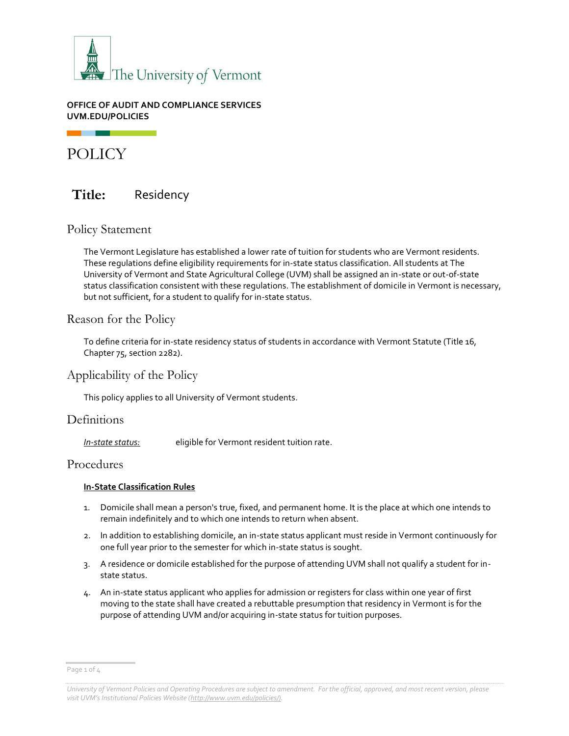

#### **OFFICE OF AUDIT AND COMPLIANCE SERVICES UVM.EDU/POLICIES**

# POLICY

## **Title:** Residency

### Policy Statement

The Vermont Legislature has established a lower rate of tuition for students who are Vermont residents. These regulations define eligibility requirements for in-state status classification. All students at The University of Vermont and State Agricultural College (UVM) shall be assigned an in-state or out-of-state status classification consistent with these regulations. The establishment of domicile in Vermont is necessary, but not sufficient, for a student to qualify for in-state status.

### Reason for the Policy

To define criteria for in-state residency status of students in accordance with Vermont Statute (Title 16, Chapter 75, section 2282).

### Applicability of the Policy

This policy applies to all University of Vermont students.

### **Definitions**

*In-state status:* eligible for Vermont resident tuition rate.

### Procedures

#### **In-State Classification Rules**

- 1. Domicile shall mean a person's true, fixed, and permanent home. It is the place at which one intends to remain indefinitely and to which one intends to return when absent.
- 2. In addition to establishing domicile, an in-state status applicant must reside in Vermont continuously for one full year prior to the semester for which in-state status is sought.
- 3. A residence or domicile established for the purpose of attending UVM shall not qualify a student for instate status.
- 4. An in-state status applicant who applies for admission or registers for class within one year of first moving to the state shall have created a rebuttable presumption that residency in Vermont is for the purpose of attending UVM and/or acquiring in-state status for tuition purposes.

Page 1 of 4

*University of Vermont Policies and Operating Procedures are subject to amendment. For the official, approved, and most recent version, please visit UVM's Institutional Policies Website ([http://www.uvm.edu/policies/\).](http://www.uvm.edu/policies/)*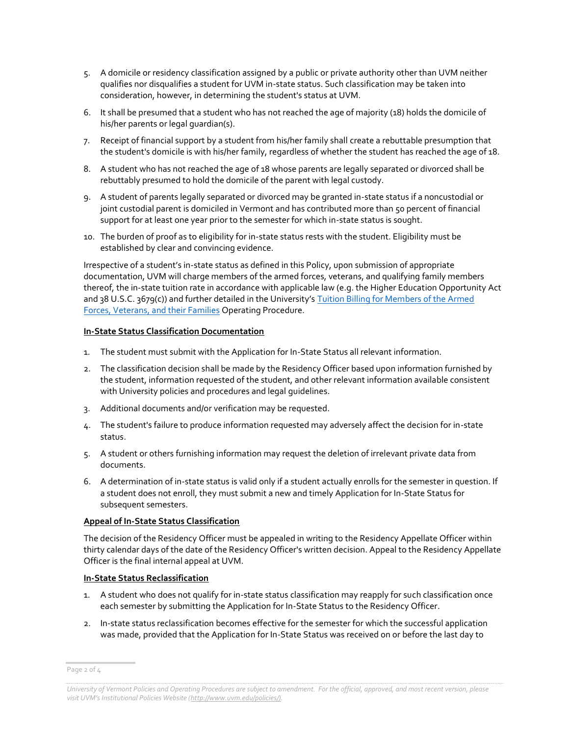- 5. A domicile or residency classification assigned by a public or private authority other than UVM neither qualifies nor disqualifies a student for UVM in-state status. Such classification may be taken into consideration, however, in determining the student's status at UVM.
- 6. It shall be presumed that a student who has not reached the age of majority (18) holds the domicile of his/her parents or legal guardian(s).
- 7. Receipt of financial support by a student from his/her family shall create a rebuttable presumption that the student's domicile is with his/her family, regardless of whether the student has reached the age of 18.
- 8. A student who has not reached the age of 18 whose parents are legally separated or divorced shall be rebuttably presumed to hold the domicile of the parent with legal custody.
- 9. A student of parents legally separated or divorced may be granted in-state status if a noncustodial or joint custodial parent is domiciled in Vermont and has contributed more than 50 percent of financial support for at least one year prior to the semester for which in-state status is sought.
- 10. The burden of proof as to eligibility for in-state status rests with the student. Eligibility must be established by clear and convincing evidence.

Irrespective of a student's in-state status as defined in this Policy, upon submission of appropriate documentation, UVM will charge members of the armed forces, veterans, and qualifying family members thereof, the in-state tuition rate in accordance with applicable law (e.g. the Higher Education Opportunity Act and 38 U.S.C. 3679(c)) and further detailed in the University's [Tuition Billing for Members of the Armed](https://www.uvm.edu/sites/default/files/UVM-Policies/policies/armedforcesbilling.pdf)  [Forces, Veterans, and their Families](https://www.uvm.edu/sites/default/files/UVM-Policies/policies/armedforcesbilling.pdf) Operating Procedure.

#### **In-State Status Classification Documentation**

- 1. The student must submit with the Application for In-State Status all relevant information.
- 2. The classification decision shall be made by the Residency Officer based upon information furnished by the student, information requested of the student, and other relevant information available consistent with University policies and procedures and legal guidelines.
- 3. Additional documents and/or verification may be requested.
- 4. The student's failure to produce information requested may adversely affect the decision for in-state status.
- 5. A student or others furnishing information may request the deletion of irrelevant private data from documents.
- 6. A determination of in-state status is valid only if a student actually enrolls for the semester in question. If a student does not enroll, they must submit a new and timely Application for In-State Status for subsequent semesters.

#### **Appeal of In-State Status Classification**

The decision of the Residency Officer must be appealed in writing to the Residency Appellate Officer within thirty calendar days of the date of the Residency Officer's written decision. Appeal to the Residency Appellate Officer is the final internal appeal at UVM.

#### **In-State Status Reclassification**

- 1. A student who does not qualify for in-state status classification may reapply for such classification once each semester by submitting the Application for In-State Status to the Residency Officer.
- 2. In-state status reclassification becomes effective for the semester for which the successful application was made, provided that the Application for In-State Status was received on or before the last day to

Page 2 of 4

*University of Vermont Policies and Operating Procedures are subject to amendment. For the official, approved, and most recent version, please visit UVM's Institutional Policies Website ([http://www.uvm.edu/policies/\).](http://www.uvm.edu/policies/)*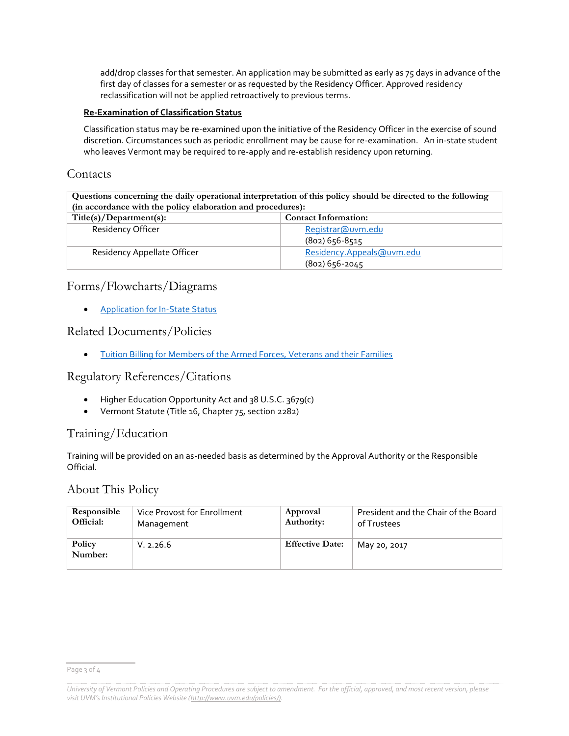add/drop classes for that semester. An application may be submitted as early as 75 days in advance of the first day of classes for a semester or as requested by the Residency Officer. Approved residency reclassification will not be applied retroactively to previous terms.

#### **Re-Examination of Classification Status**

Classification status may be re-examined upon the initiative of the Residency Officer in the exercise of sound discretion. Circumstances such as periodic enrollment may be cause for re-examination. An in-state student who leaves Vermont may be required to re-apply and re-establish residency upon returning.

### **Contacts**

**Questions concerning the daily operational interpretation of this policy should be directed to the following (in accordance with the policy elaboration and procedures):**

| Title(s)/Department(s):     | <b>Contact Information:</b> |
|-----------------------------|-----------------------------|
| <b>Residency Officer</b>    | Registrar@uvm.edu           |
|                             | $(802)$ 656-8515            |
| Residency Appellate Officer | Residency.Appeals@uvm.edu   |
|                             | $(802)$ 656-2045            |

### Forms/Flowcharts/Diagrams

[Application for In-State Status](https://www.uvm.edu/registrar/residency-policy)

### Related Documents/Policies

[Tuition Billing for Members of the Armed Forces, Veterans and their Families](https://www.uvm.edu/sites/default/files/UVM-Policies/policies/armedforcesbilling.pdf)

### Regulatory References/Citations

- Higher Education Opportunity Act and 38 U.S.C. 3679(c)
- Vermont Statute (Title 16, Chapter 75, section 2282)

### Training/Education

Training will be provided on an as-needed basis as determined by the Approval Authority or the Responsible Official.

### About This Policy

| Responsible       | Vice Provost for Enrollment | Approval               | President and the Chair of the Board |
|-------------------|-----------------------------|------------------------|--------------------------------------|
| Official:         | Management                  | Authority:             | of Trustees                          |
| Policy<br>Number: | V. 2.26.6                   | <b>Effective Date:</b> | May 20, 2017                         |

Page 3 of 4

*University of Vermont Policies and Operating Procedures are subject to amendment. For the official, approved, and most recent version, please visit UVM's Institutional Policies Website ([http://www.uvm.edu/policies/\).](http://www.uvm.edu/policies/)*